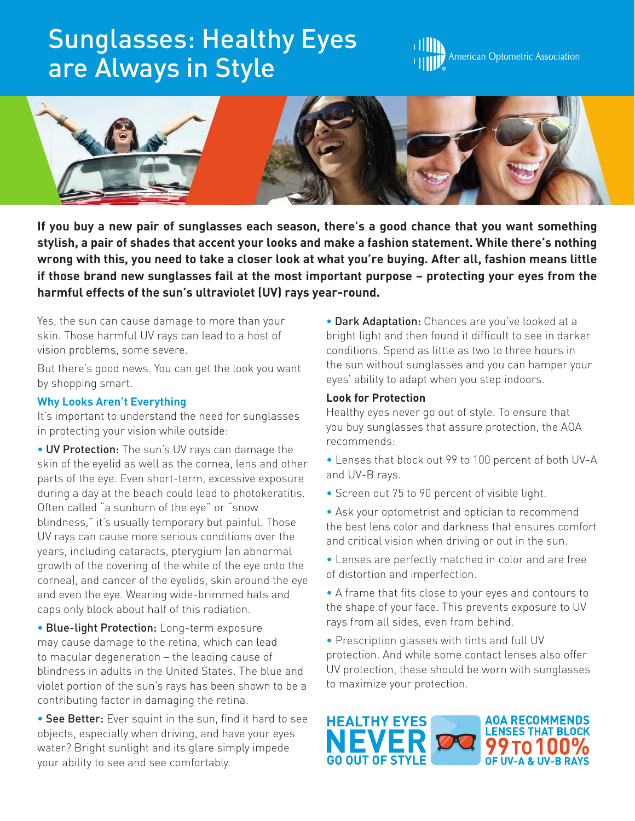# Sunglasses: Healthy Eyes are Always in Style





**If you buy a new pair of sunglasses each season, there's a good chance that you want something stylish, a pair of shades that accent your looks and make a fashion statement. While there's nothing wrong with this, you need to take a closer look at what you're buying. After all, fashion means little if those brand new sunglasses fail at the most important purpose – protecting your eyes from the harmful effects of the sun's ultraviolet (UV) rays year-round.**

Yes, the sun can cause damage to more than your skin. Those harmful UV rays can lead to a host of vision problems, some severe.

But there's good news. You can get the look you want by shopping smart.

# **Why Looks Aren't Everything**

It's important to understand the need for sunglasses in protecting your vision while outside:

• UV Protection: The sun's UV rays can damage the skin of the eyelid as well as the cornea, lens and other parts of the eye. Even short-term, excessive exposure during a day at the beach could lead to photokeratitis. Often called "a sunburn of the eye" or "snow blindness," it's usually temporary but painful. Those UV rays can cause more serious conditions over the years, including cataracts, pterygium (an abnormal growth of the covering of the white of the eye onto the cornea), and cancer of the eyelids, skin around the eye and even the eye. Wearing wide-brimmed hats and caps only block about half of this radiation.

• Blue-light Protection: Long-term exposure may cause damage to the retina, which can lead to macular degeneration – the leading cause of blindness in adults in the United States. The blue and violet portion of the sun's rays has been shown to be a contributing factor in damaging the retina.

• See Better: Ever squint in the sun, find it hard to see objects, especially when driving, and have your eyes water? Bright sunlight and its glare simply impede your ability to see and see comfortably.

• Dark Adaptation: Chances are you've looked at a bright light and then found it difficult to see in darker conditions. Spend as little as two to three hours in the sun without sunglasses and you can hamper your eyes' ability to adapt when you step indoors.

## **Look for Protection**

Healthy eyes never go out of style. To ensure that you buy sunglasses that assure protection, the AOA recommends:

- Lenses that block out 99 to 100 percent of both UV-A and UV-B rays.
- Screen out 75 to 90 percent of visible light.
- Ask your optometrist and optician to recommend the best lens color and darkness that ensures comfort and critical vision when driving or out in the sun.
- Lenses are perfectly matched in color and are free of distortion and imperfection.
- A frame that fits close to your eyes and contours to the shape of your face. This prevents exposure to UV rays from all sides, even from behind.
- Prescription glasses with tints and full UV protection. And while some contact lenses also offer UV protection, these should be worn with sunglasses to maximize your protection.